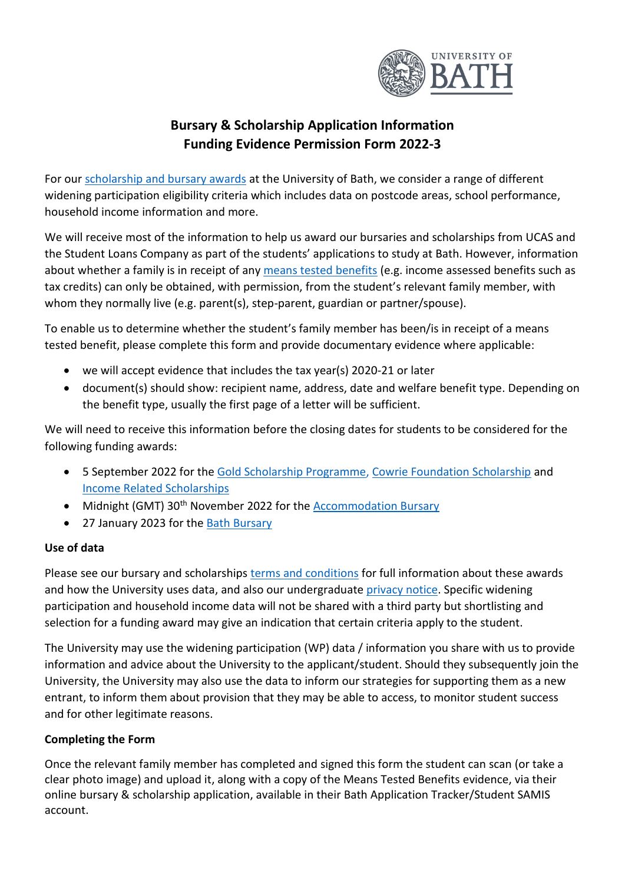

## **Bursary & Scholarship Application Information Funding Evidence Permission Form 2022-3**

For our [scholarship and bursary awards](https://www.bath.ac.uk/campaigns/bursaries-and-scholarships-for-undergraduate-students/) at the University of Bath, we consider a range of different widening participation eligibility criteria which includes data on postcode areas, school performance, household income information and more.

We will receive most of the information to help us award our bursaries and scholarships from UCAS and the Student Loans Company as part of the students' applications to study at Bath. However, information about whether a family is in receipt of any [means tested benefits](https://www.bath.ac.uk/corporate-information/state-means-tested-benefits/) (e.g. income assessed benefits such as tax credits) can only be obtained, with permission, from the student's relevant family member, with whom they normally live (e.g. parent(s), step-parent, guardian or partner/spouse).

To enable us to determine whether the student's family member has been/is in receipt of a means tested benefit, please complete this form and provide documentary evidence where applicable:

- we will accept evidence that includes the tax year(s) 2020-21 or later
- document(s) should show: recipient name, address, date and welfare benefit type. Depending on the benefit type, usually the first page of a letter will be sufficient.

We will need to receive this information before the closing dates for students to be considered for the following funding awards:

- 5 September 2022 for the [Gold Scholarship Programme,](https://www.bath.ac.uk/campaigns/gold-scholarship-programme/) [Cowrie Foundation Scholarship](https://www.bath.ac.uk/campaigns/cowrie-foundation-scholarship/) and [Income Related](https://www.bath.ac.uk/campaigns/income-related-scholarships/) Scholarships
- Midnight (GMT) 30<sup>th</sup> November 2022 for the [Accommodation Bursary](https://www.bath.ac.uk/campaigns/accommodation-bursary/)
- 27 January 2023 for the [Bath Bursary](https://www.bath.ac.uk/campaigns/the-bath-bursary/)

## **Use of data**

Please see our bursary and scholarships [terms and conditions](https://www.bath.ac.uk/publications/undergraduate-bursaries-and-scholarships-terms-and-conditions-2022-23/attachments/Cowrie_Foundation_Scholarship_terms_and_conditions_2022-2023.pdf) for full information about these awards and how the University uses data, and also our undergraduate [privacy notice.](https://www.bath.ac.uk/corporate-information/undergraduate-applicant-privacy-notice/) Specific widening participation and household income data will not be shared with a third party but shortlisting and selection for a funding award may give an indication that certain criteria apply to the student.

The University may use the widening participation (WP) data / information you share with us to provide information and advice about the University to the applicant/student. Should they subsequently join the University, the University may also use the data to inform our strategies for supporting them as a new entrant, to inform them about provision that they may be able to access, to monitor student success and for other legitimate reasons.

## **Completing the Form**

Once the relevant family member has completed and signed this form the student can scan (or take a clear photo image) and upload it, along with a copy of the Means Tested Benefits evidence, via their online bursary & scholarship application, available in their Bath Application Tracker/Student SAMIS account.